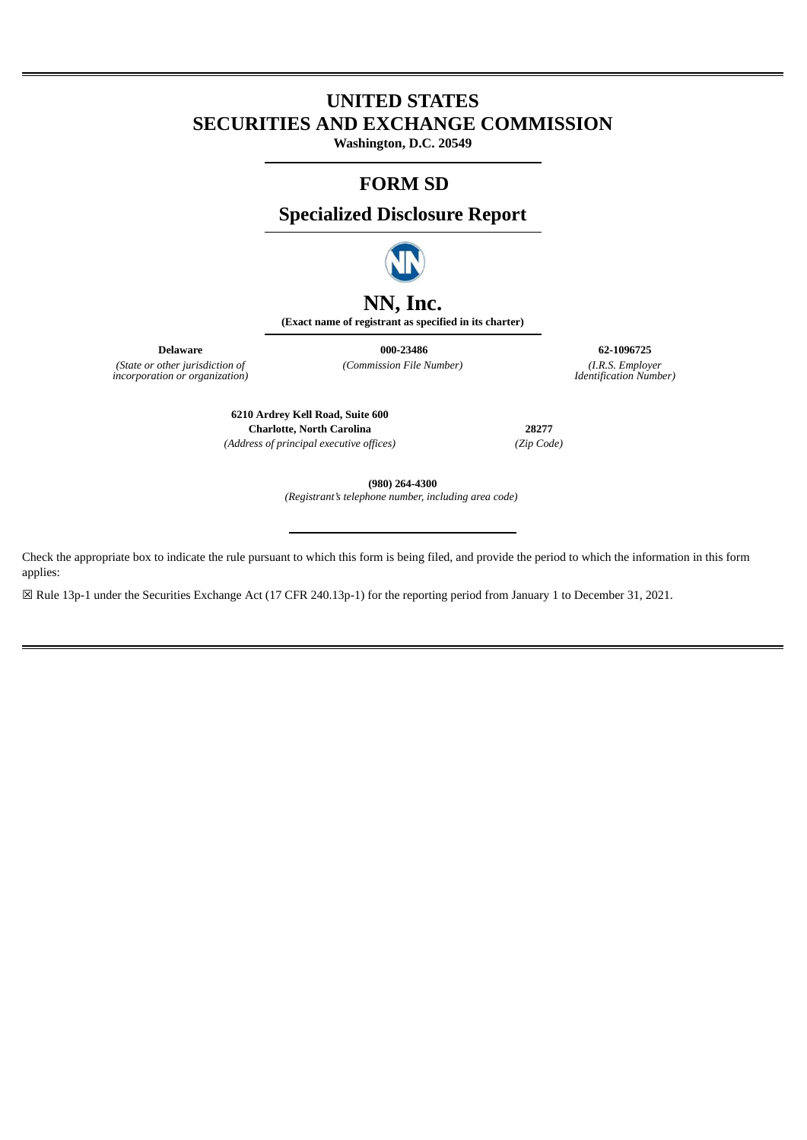# **UNITED STATES SECURITIES AND EXCHANGE COMMISSION**

**Washington, D.C. 20549**

### **FORM SD**

**Specialized Disclosure Report**



## **NN, Inc.**

**(Exact name of registrant as specified in its charter)**

*(State or other jurisdiction of incorporation or organization)*

**Delaware 000-23486 62-1096725** *(Commission File Number) (I.R.S. Employer*

*Identification Number)*

**6210 Ardrey Kell Road, Suite 600 Charlotte, North Carolina 28277** *(Address of principal executive offices) (Zip Code)*

**(980) 264-4300**

*(Registrant's telephone number, including area code)* 

Check the appropriate box to indicate the rule pursuant to which this form is being filed, and provide the period to which the information in this form applies:

☒ Rule 13p-1 under the Securities Exchange Act (17 CFR 240.13p-1) for the reporting period from January 1 to December 31, 2021.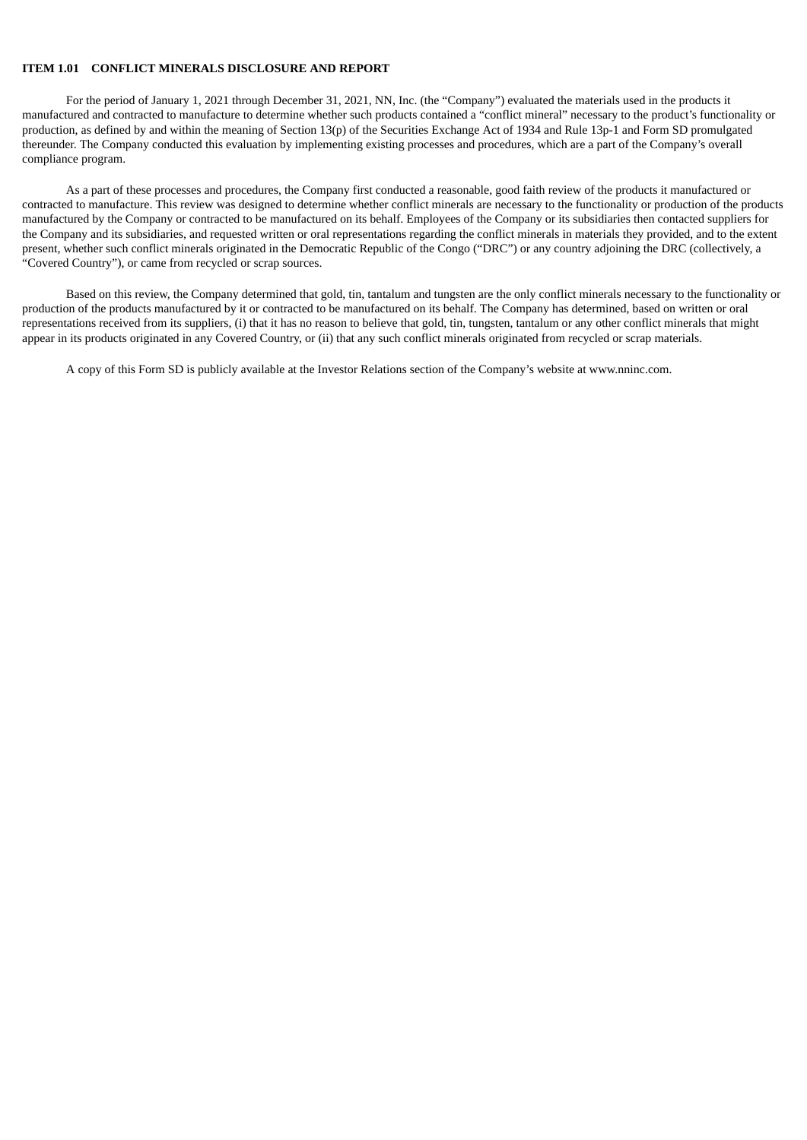#### **ITEM 1.01 CONFLICT MINERALS DISCLOSURE AND REPORT**

For the period of January 1, 2021 through December 31, 2021, NN, Inc. (the "Company") evaluated the materials used in the products it manufactured and contracted to manufacture to determine whether such products contained a "conflict mineral" necessary to the product's functionality or production, as defined by and within the meaning of Section 13(p) of the Securities Exchange Act of 1934 and Rule 13p-1 and Form SD promulgated thereunder. The Company conducted this evaluation by implementing existing processes and procedures, which are a part of the Company's overall compliance program.

As a part of these processes and procedures, the Company first conducted a reasonable, good faith review of the products it manufactured or contracted to manufacture. This review was designed to determine whether conflict minerals are necessary to the functionality or production of the products manufactured by the Company or contracted to be manufactured on its behalf. Employees of the Company or its subsidiaries then contacted suppliers for the Company and its subsidiaries, and requested written or oral representations regarding the conflict minerals in materials they provided, and to the extent present, whether such conflict minerals originated in the Democratic Republic of the Congo ("DRC") or any country adjoining the DRC (collectively, a "Covered Country"), or came from recycled or scrap sources.

Based on this review, the Company determined that gold, tin, tantalum and tungsten are the only conflict minerals necessary to the functionality or production of the products manufactured by it or contracted to be manufactured on its behalf. The Company has determined, based on written or oral representations received from its suppliers, (i) that it has no reason to believe that gold, tin, tungsten, tantalum or any other conflict minerals that might appear in its products originated in any Covered Country, or (ii) that any such conflict minerals originated from recycled or scrap materials.

A copy of this Form SD is publicly available at the Investor Relations section of the Company's website at www.nninc.com.